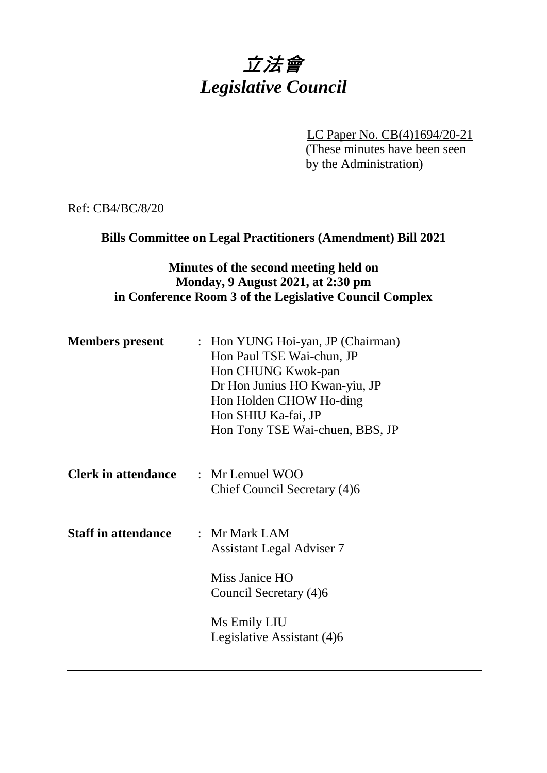# 立法會 *Legislative Council*

LC Paper No. CB(4)1694/20-21

(These minutes have been seen by the Administration)

Ref: CB4/BC/8/20

# **Bills Committee on Legal Practitioners (Amendment) Bill 2021**

#### **Minutes of the second meeting held on Monday, 9 August 2021, at 2:30 pm in Conference Room 3 of the Legislative Council Complex**

| <b>Members</b> present     | : Hon YUNG Hoi-yan, JP (Chairman)<br>Hon Paul TSE Wai-chun, JP<br>Hon CHUNG Kwok-pan<br>Dr Hon Junius HO Kwan-yiu, JP<br>Hon Holden CHOW Ho-ding<br>Hon SHIU Ka-fai, JP<br>Hon Tony TSE Wai-chuen, BBS, JP |
|----------------------------|------------------------------------------------------------------------------------------------------------------------------------------------------------------------------------------------------------|
| <b>Clerk in attendance</b> | $\therefore$ Mr Lemuel WOO<br>Chief Council Secretary (4)6                                                                                                                                                 |
| <b>Staff in attendance</b> | : Mr Mark LAM<br><b>Assistant Legal Adviser 7</b><br>Miss Janice HO<br>Council Secretary (4)6<br>Ms Emily LIU<br>Legislative Assistant (4)6                                                                |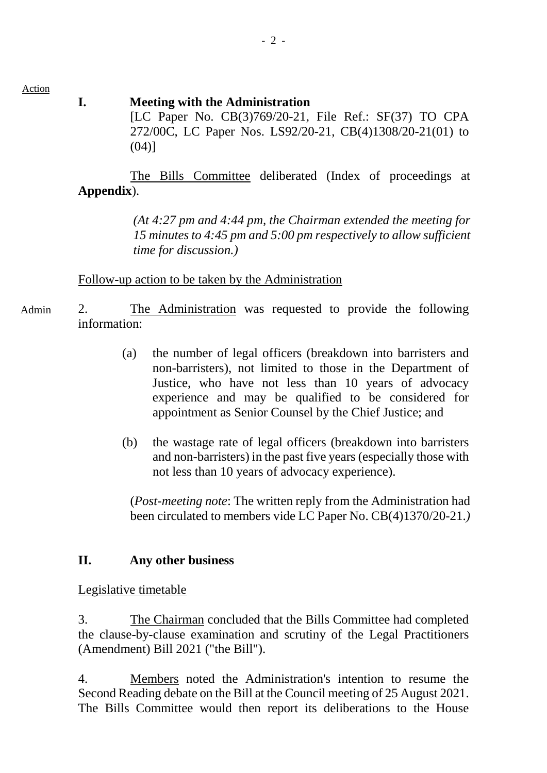Action

#### **I. Meeting with the Administration**

[LC Paper No. CB(3)769/20-21, File Ref.: SF(37) TO CPA 272/00C, LC Paper Nos. LS92/20-21, CB(4)1308/20-21(01) to  $(04)$ ]

The Bills Committee deliberated (Index of proceedings at **Appendix**).

> *(At 4:27 pm and 4:44 pm, the Chairman extended the meeting for 15 minutes to 4:45 pm and 5:00 pm respectively to allow sufficient time for discussion.)*

Follow-up action to be taken by the Administration

- 2. The Administration was requested to provide the following information: Admin
	- (a) the number of legal officers (breakdown into barristers and non-barristers), not limited to those in the Department of Justice, who have not less than 10 years of advocacy experience and may be qualified to be considered for appointment as Senior Counsel by the Chief Justice; and
	- (b) the wastage rate of legal officers (breakdown into barristers and non-barristers) in the past five years (especially those with not less than 10 years of advocacy experience).

(*Post-meeting note*: The written reply from the Administration had been circulated to members vide LC Paper No. CB(4)1370/20-21.*)*

# **II. Any other business**

# Legislative timetable

3. The Chairman concluded that the Bills Committee had completed the clause-by-clause examination and scrutiny of the Legal Practitioners (Amendment) Bill 2021 ("the Bill").

4. Members noted the Administration's intention to resume the Second Reading debate on the Bill at the Council meeting of 25 August 2021. The Bills Committee would then report its deliberations to the House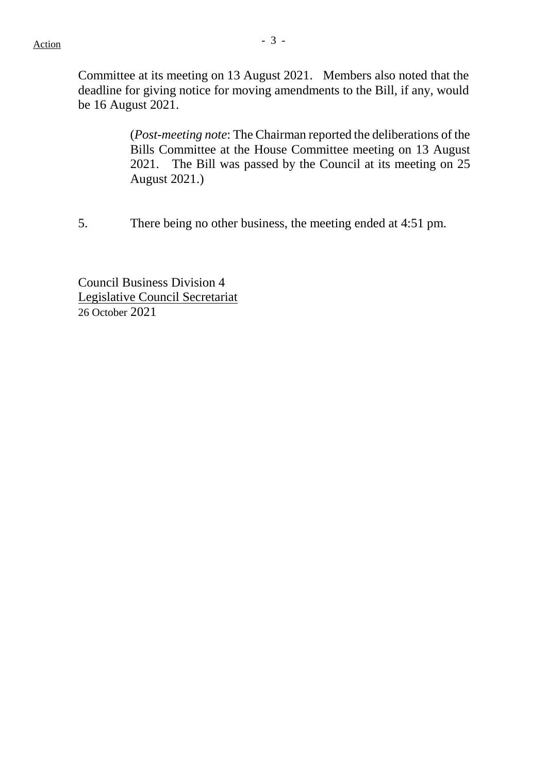Committee at its meeting on 13 August 2021. Members also noted that the deadline for giving notice for moving amendments to the Bill, if any, would be 16 August 2021.

> (*Post-meeting note*: The Chairman reported the deliberations of the Bills Committee at the House Committee meeting on 13 August 2021. The Bill was passed by the Council at its meeting on 25 August 2021.)

5. There being no other business, the meeting ended at 4:51 pm.

Council Business Division 4 Legislative Council Secretariat 26 October 2021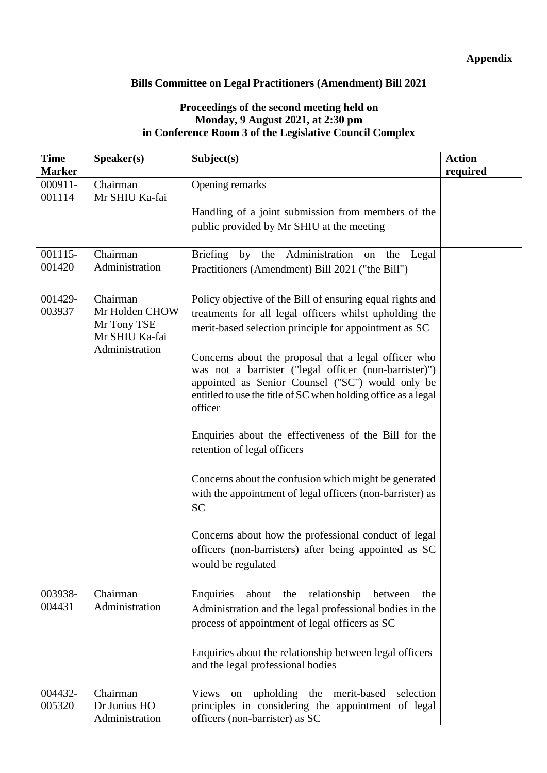#### **Appendix**

#### **Bills Committee on Legal Practitioners (Amendment) Bill 2021**

#### **Proceedings of the second meeting held on Monday, 9 August 2021, at 2:30 pm in Conference Room 3 of the Legislative Council Complex**

| <b>Time</b>   | Speaker(s)                    | Subject(s)                                                     | <b>Action</b> |
|---------------|-------------------------------|----------------------------------------------------------------|---------------|
| <b>Marker</b> |                               |                                                                | required      |
| 000911-       | Chairman                      | Opening remarks                                                |               |
| 001114        | Mr SHIU Ka-fai                |                                                                |               |
|               |                               | Handling of a joint submission from members of the             |               |
|               |                               | public provided by Mr SHIU at the meeting                      |               |
|               |                               |                                                                |               |
| 001115-       | Chairman                      | Briefing by the Administration<br>on the Legal                 |               |
| 001420        | Administration                | Practitioners (Amendment) Bill 2021 ("the Bill")               |               |
|               |                               |                                                                |               |
| 001429-       | Chairman                      | Policy objective of the Bill of ensuring equal rights and      |               |
| 003937        | Mr Holden CHOW                | treatments for all legal officers whilst upholding the         |               |
|               | Mr Tony TSE<br>Mr SHIU Ka-fai | merit-based selection principle for appointment as SC          |               |
|               | Administration                |                                                                |               |
|               |                               | Concerns about the proposal that a legal officer who           |               |
|               |                               | was not a barrister ("legal officer (non-barrister)")          |               |
|               |                               | appointed as Senior Counsel ("SC") would only be               |               |
|               |                               | entitled to use the title of SC when holding office as a legal |               |
|               |                               | officer                                                        |               |
|               |                               | Enquiries about the effectiveness of the Bill for the          |               |
|               |                               | retention of legal officers                                    |               |
|               |                               |                                                                |               |
|               |                               | Concerns about the confusion which might be generated          |               |
|               |                               | with the appointment of legal officers (non-barrister) as      |               |
|               |                               | <b>SC</b>                                                      |               |
|               |                               |                                                                |               |
|               |                               | Concerns about how the professional conduct of legal           |               |
|               |                               | officers (non-barristers) after being appointed as SC          |               |
|               |                               | would be regulated                                             |               |
|               |                               |                                                                |               |
| 003938-       | Chairman                      | Enquiries<br>relationship<br>about<br>the<br>between<br>the    |               |
| 004431        | Administration                | Administration and the legal professional bodies in the        |               |
|               |                               | process of appointment of legal officers as SC                 |               |
|               |                               |                                                                |               |
|               |                               | Enquiries about the relationship between legal officers        |               |
|               |                               | and the legal professional bodies                              |               |
|               |                               |                                                                |               |
| 004432-       | Chairman                      | upholding<br>merit-based<br>Views<br>the<br>selection<br>on    |               |
| 005320        | Dr Junius HO                  | principles in considering the appointment of legal             |               |
|               | Administration                | officers (non-barrister) as SC                                 |               |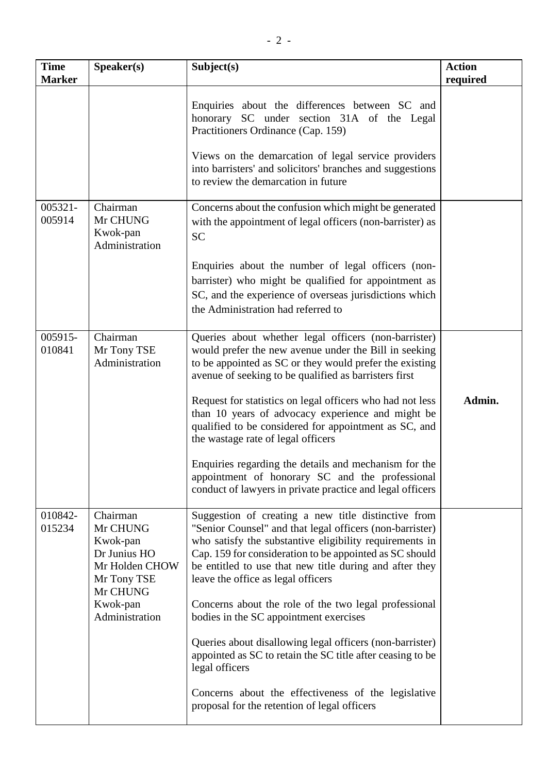| <b>Time</b><br><b>Marker</b> | Speaker(s)                                                                                    | Subject(s)                                                                                                                                                                                                                                                                                                                             | <b>Action</b><br>required |
|------------------------------|-----------------------------------------------------------------------------------------------|----------------------------------------------------------------------------------------------------------------------------------------------------------------------------------------------------------------------------------------------------------------------------------------------------------------------------------------|---------------------------|
|                              |                                                                                               | Enquiries about the differences between SC and<br>honorary SC under section 31A of the Legal<br>Practitioners Ordinance (Cap. 159)<br>Views on the demarcation of legal service providers<br>into barristers' and solicitors' branches and suggestions                                                                                 |                           |
|                              |                                                                                               | to review the demarcation in future                                                                                                                                                                                                                                                                                                    |                           |
| 005321-<br>005914            | Chairman<br>Mr CHUNG<br>Kwok-pan<br>Administration                                            | Concerns about the confusion which might be generated<br>with the appointment of legal officers (non-barrister) as<br><b>SC</b>                                                                                                                                                                                                        |                           |
|                              |                                                                                               | Enquiries about the number of legal officers (non-<br>barrister) who might be qualified for appointment as<br>SC, and the experience of overseas jurisdictions which<br>the Administration had referred to                                                                                                                             |                           |
| 005915-<br>010841            | Chairman<br>Mr Tony TSE<br>Administration                                                     | Queries about whether legal officers (non-barrister)<br>would prefer the new avenue under the Bill in seeking<br>to be appointed as SC or they would prefer the existing<br>avenue of seeking to be qualified as barristers first                                                                                                      |                           |
|                              |                                                                                               | Request for statistics on legal officers who had not less<br>than 10 years of advocacy experience and might be<br>qualified to be considered for appointment as SC, and<br>the wastage rate of legal officers                                                                                                                          | Admin.                    |
|                              |                                                                                               | Enquiries regarding the details and mechanism for the<br>appointment of honorary SC and the professional<br>conduct of lawyers in private practice and legal officers                                                                                                                                                                  |                           |
| 010842-<br>015234            | Chairman<br>Mr CHUNG<br>Kwok-pan<br>Dr Junius HO<br>Mr Holden CHOW<br>Mr Tony TSE<br>Mr CHUNG | Suggestion of creating a new title distinctive from<br>"Senior Counsel" and that legal officers (non-barrister)<br>who satisfy the substantive eligibility requirements in<br>Cap. 159 for consideration to be appointed as SC should<br>be entitled to use that new title during and after they<br>leave the office as legal officers |                           |
|                              | Kwok-pan<br>Administration                                                                    | Concerns about the role of the two legal professional<br>bodies in the SC appointment exercises                                                                                                                                                                                                                                        |                           |
|                              |                                                                                               | Queries about disallowing legal officers (non-barrister)<br>appointed as SC to retain the SC title after ceasing to be<br>legal officers                                                                                                                                                                                               |                           |
|                              |                                                                                               | Concerns about the effectiveness of the legislative<br>proposal for the retention of legal officers                                                                                                                                                                                                                                    |                           |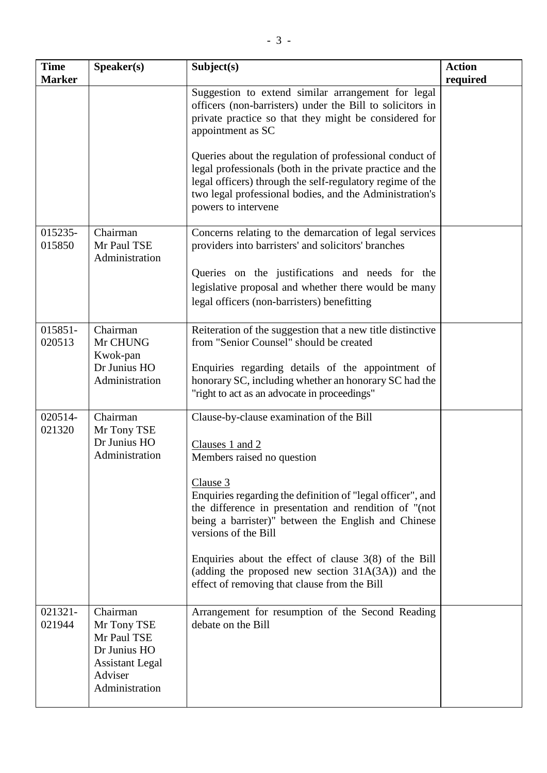| <b>Time</b><br><b>Marker</b> | Speaker(s)                                                                                  | Subject(s)                                                                                                                                                                                                                                                          | <b>Action</b><br>required |
|------------------------------|---------------------------------------------------------------------------------------------|---------------------------------------------------------------------------------------------------------------------------------------------------------------------------------------------------------------------------------------------------------------------|---------------------------|
|                              |                                                                                             | Suggestion to extend similar arrangement for legal<br>officers (non-barristers) under the Bill to solicitors in<br>private practice so that they might be considered for<br>appointment as SC                                                                       |                           |
|                              |                                                                                             | Queries about the regulation of professional conduct of<br>legal professionals (both in the private practice and the<br>legal officers) through the self-regulatory regime of the<br>two legal professional bodies, and the Administration's<br>powers to intervene |                           |
| 015235-<br>015850            | Chairman<br>Mr Paul TSE<br>Administration                                                   | Concerns relating to the demarcation of legal services<br>providers into barristers' and solicitors' branches                                                                                                                                                       |                           |
|                              |                                                                                             | Queries on the justifications and needs for the<br>legislative proposal and whether there would be many<br>legal officers (non-barristers) benefitting                                                                                                              |                           |
| 015851-<br>020513            | Chairman<br>Mr CHUNG<br>Kwok-pan                                                            | Reiteration of the suggestion that a new title distinctive<br>from "Senior Counsel" should be created                                                                                                                                                               |                           |
|                              | Dr Junius HO<br>Administration                                                              | Enquiries regarding details of the appointment of<br>honorary SC, including whether an honorary SC had the<br>"right to act as an advocate in proceedings"                                                                                                          |                           |
| 020514-<br>021320            | Chairman<br>Mr Tony TSE                                                                     | Clause-by-clause examination of the Bill                                                                                                                                                                                                                            |                           |
|                              | Dr Junius HO<br>Administration                                                              | Clauses 1 and 2<br>Members raised no question                                                                                                                                                                                                                       |                           |
|                              |                                                                                             | Clause 3<br>Enquiries regarding the definition of "legal officer", and<br>the difference in presentation and rendition of "(not<br>being a barrister)" between the English and Chinese<br>versions of the Bill                                                      |                           |
|                              |                                                                                             | Enquiries about the effect of clause $3(8)$ of the Bill<br>(adding the proposed new section $31A(3A)$ ) and the<br>effect of removing that clause from the Bill                                                                                                     |                           |
| 021321-<br>021944            | Chairman<br>Mr Tony TSE<br>Mr Paul TSE<br>Dr Junius HO<br><b>Assistant Legal</b><br>Adviser | Arrangement for resumption of the Second Reading<br>debate on the Bill                                                                                                                                                                                              |                           |
|                              | Administration                                                                              |                                                                                                                                                                                                                                                                     |                           |